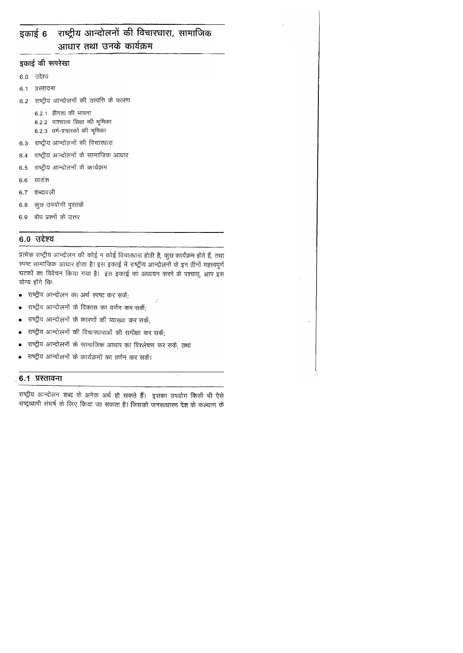## राष्ट्रीय आन्दोलनों की विचारधारा, सामाजिक इकाई 6 आधार तथा उनके कार्यक्रम

इकाई की रूपरेखा

6.0 उद्देश्य

प्रस्तावना  $6.1$ 

राष्ट्रीय आन्दोलनों की उत्पत्ति के कारण  $6.2$ 

> $6.2.1$  हीनता की भावना 6.2.2 पाश्चात्य शिक्षा की भूमिका 6.2.3 धर्म-प्रचारकों की भूमिका

- 6.3 राष्ट्रीय आन्दोलनों की विचारधारा
- राष्ट्रीय आन्दोलनों के सामाजिक आधार 6.4
- राष्ट्रीय आन्दोलनों के कार्यक्रम 6.5
- सारांश 6.6
- शब्दावली 6.7
- कुछ उपयोगी पुस्तकें  $6.8\,$
- 6.9 बोध प्रश्नों के उत्तर

## 6.0 उद्देश्य

प्रत्येक राष्ट्रीय आन्दोलन की कोई न कोई विचारधारा होती है, कुछ कार्यक्रम होते हैं, तथा रपष्ट सामाजिक आधार होता है। इस इकाई में राष्ट्रीय आन्दोलनों के इन तीनों महत्त्वपूर्ण घटकों का विवेचन किया गया है। इस इकाई का अध्ययन करने के पश्चात्, आप इस योग्य होंगे किः

- राष्ट्रीय आन्दोलन का अर्थ स्पष्ट कर सकें;
- राष्ट्रीय आन्दोलनों के विकास का वर्णन कर सकें;  $\bullet$
- राष्ट्रीय आन्दोलनों के कारणों की व्याख्या कर सकें:
- राष्ट्रीय आन्दोलनों की विचारधाराओं की समीक्षा कर सकें;
- राष्ट्रीय आन्दोलनों के सामाजिक आधार का विश्लेषण कर सकें; तथा
- राष्ट्रीय आन्दोलनों के कार्यक्रमों का वर्णन कर सकें।

## 6.1 प्रस्तावना

राष्ट्रीय आन्दोलन शब्द के अनेक अर्थ हो सकते हैं। इसका उपयोग किसी भी ऐसे राष्ट्रव्यापी संघर्ष के लिए किया जा सकता है। जिसको जनसाधारण देश के कल्याण के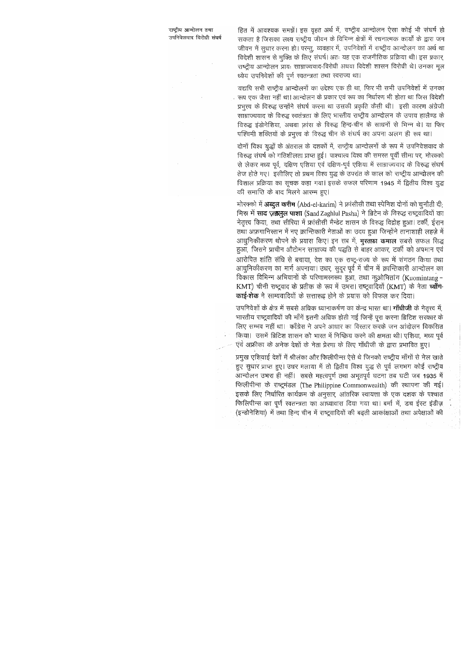राष्ट्रीय आन्दोलन तथा उपनिवेशवाद विरोधी संघर्ष हित में आवश्यक समझें। इस वृहत अर्थ में, राष्ट्रीय आन्दोलन ऐसा कोई भी संघर्ष हो सकता है जिसका लक्ष्य राष्ट्रीय जीवन के विभिन्न क्षेत्रों में रचनात्मक कार्यों के द्वारा जन जीवन में सूधार करना हो। परन्तु, व्यवहार में, उपनिवेशों में राष्ट्रीय आन्दोलन का अर्थ था विदेशी शासन से मुक्ति के लिए संघर्ष। अतः यह एक राजनीतिक प्रक्रिया थी। इस प्रकार, राष्ट्रीय आन्दोलन प्रायः साम्राज्यवाद-विरोधी अथवा विदेशी शासन विरोधी थे। उनका मूल ध्येय उपनिवेशों की पर्ण स्वतन्त्रता तथा स्वराज्य था।

यद्यपि सभी राष्ट्रीय आन्दोलनों का उद्देश्य एक ही था, फिर भी सभी उपनिवेशों में उनका रूप एक जैसा नहीं था। आन्दोलन के प्रकार एवं रूप का निर्धारण भी होता था जिस विदेशी प्रभूत्त्व के विरुद्ध उन्होंने संघर्ष करना था उसकी प्रकृति कैसी थी। इसी कारण अंग्रेजी साम्राज्यवाद के विरुद्ध स्वतंत्रता के लिए भारतीय राष्ट्रीय आन्दोलन के उपाय हालैण्ड के विरुद्ध इंडोनेशिया, अथवा फ़्रांस के विरुद्ध हिन्द-चीन के साधनों से भिन्न थे। या फिर पश्चिमी शक्तियों के प्रभुत्त्व के विरुद्ध चीन के संघर्ष का अपना अलग ही रूप था।

दोनों विश्व युद्धों के अंतराल के दशकों में, राष्ट्रीय आन्दोलनों के रूप में उपनिवेशवाद के विरुद्ध संघर्ष को गतिशीलता प्राप्त हुई। पाश्चात्य विश्व की समस्त पूर्वी सीमा पर, मोरक्को से लेकर मध्य पूर्व, दक्षिण एशिया एवं दक्षिण-पूर्व एशिया में साम्राज्यवाद के विरुद्ध संघर्ष तेज होते गए। इसीलिए तो प्रथम विश्व युद्ध के उपरांत के काल को राष्ट्रीय आन्दोलन की विशाल प्रक्रिया का सूचक कहा गया। इसके सफल परिणाम 1945 में द्वितीय विश्व युद्ध की समाप्ति के बाद मिलने आरम्म हुए।

मोरक्को में **अब्दुल करीम** (Abd-el-karim) ने फ्रांसीसी तथा स्पेनिश दोनों को चुनौती दी; मिस्र में साद ज़ग़लुल पाशा (Saad Zaghlul Pasha) ने ब्रिटेन के विरुद्ध राष्ट्रवादियों का नेतृत्त्व किया, तथा सीरिया में फ्रांसीसी मैन्डेट शासन के विरुद्ध विद्रोह हुआ। टर्की, ईरान तथा अफ़गानिस्तान में नए क्रान्तिकारी नेताओं का उदय हुआ जिन्होंने तानाशाही लहज़े में आधुनिकीकरण थोपने के प्रयास किए। इन सब में, **मुरतफ़ा कमाल** सबसे सफल सिद्ध हुआ, जिसने प्राचीन औटोमन साम्राज्य की पद्धति से बाहर आकर, टर्की को अपमान एवं आरोपित शांति संधि से बचाया, देश का एक राष्ट्र-राज्य के रूप में संगठन किया तथा आधुनिकीकरण का मार्ग अपनाया। उधर, सुदूर पूर्व में चीन में क्रान्तिकारी आन्दोलन का विकास विभिन्न अभियानों के परिणामस्वरूप हुआ, तथा कुओमितांग (Kuomintang -KMT) चीनी राष्ट्रवाद के प्रतीक के रूप में उभरा। राष्ट्रवादियों (KMT) के नेता च्यॉंग-काई-शेक ने साम्यवादियों के सत्तारूढ़ होने के प्रयास को विफल कर दिया।

उपनिवेशों के क्षेत्र में सबसे अधिक ध्यानाकर्षण का केन्द्र भारत था। **गाँधीजी** के नेतृत्त्व में, भारतीय राष्ट्रवादियों की माँगे इतनी अधिक होती गई जिन्हें पूरा करना ब्रिटिश सरकार के लिए सम्भव नहीं था। काँग्रेस ने अपने आधार का विस्तार करके जन आंदोलन विकसित किया। उसमें ब्रिटिश शासन को भारत में निष्क्रिय करने की क्षमता थी। एशिया, मध्य पूर्व एवं अफ्रीका के अनेक देशों के नेता प्रेरणा के लिए गाँधीजी के द्वारा प्रभावित हुए।

प्रमुख एशियाई देशों में श्रीलंका और फिलीपीन्स ऐसे थे जिनको राष्ट्रीय माँगों से मेल खाते हुए सुधार प्राप्त हुए। उधर मलाया में तो द्वितीय विश्व युद्ध से पूर्व लगभग कोई राष्ट्रीय आन्दोलन उभरा ही नहीं। सबसे महत्वपूर्ण तथा अभूतपूर्व घटना तब घटी जब 1935 में फिलीपीन्स के राष्ट्रमंडल (The Philippine Commonwealth) की रथापना की गई। इसके लिए निर्धारित कार्यक्रम के अनुसार, आंतरिक स्वायत्ता के एक दशक के पश्चात फिलिपीन्स का पूर्ण स्वतन्त्रता का आध्यावास दिया गया था। बर्मा में, डच ईस्ट इंडीज़ (इन्डोनेशिया) में तथा हिन्द चीन में राष्ट्रवादियों की बढ़ती आकांक्षाओं तथा अपेक्षाओं की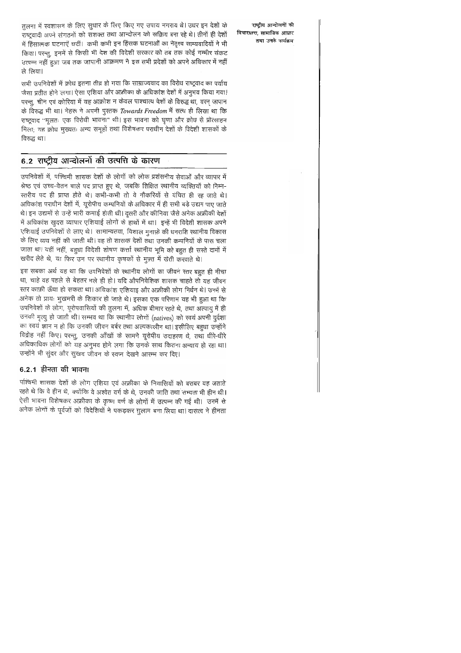तुलना में स्वशासन के लिए सुधार के लिए किए गए उपाय नगराय थे। उधर इन देशों के राष्ट्रवादी अपने संगठनों को सशक्त तथा आन्दोलन को सक्रिय बना रहे थे। तीनों ही देशों में हिंसात्मक घटनाएँ घटीं। कभी कभी इन हिंसक घटनाओं का नेतृत्त्व साम्यवादियों ने भी किया। परन्तु, इनमें से किसी भी देश की विदेशी सरकार को तब तक कोई गम्भीर संकट उत्पन्न नहीं हुआ जब तक जापानी आक्रमण ने इस सभी प्रदेशों को अपने अधिकार में नहीं ले लिया।

राष्ट्रीय आन्दोलनों की विचारधारा. सामाजिक आधार तथा उनके कार्यक्रम

सभी उपनिवेशों में क्रोध इतना तीव्र हो गया कि साम्राज्यवाद का विरोध राष्ट्रवाद का पर्याय जैसा प्रतीत होने लगा। ऐसा एशिया और अफ्रीका के अधिकांश देशों में अनुभव किया गया। परन्तु, चीन एवं कोरिया में यह आक्रोश न केवल पाश्चात्य देशों के विरुद्ध था, वरन् जापान के विरुद्ध भी था। नेहरू ने अपनी पुरतक Towards Freedom में सत्य ही लिखा था कि राष्ट्रवाद "मूलतः एक विरोधी भावना" थी। इस भावना को घृणा और क्रोध से प्रोत्साहन मिला; यह क्रोध मुख्यतः अन्य समूहों तथा विशेषकर पराधीन देशों के विदेशी शासकों के विरुद्ध था।

## 6.2 राष्ट्रीय आन्दोलनों की उत्पत्ति के कारण

उपनिवेशों में, पश्चिमी शासक देशों के लोगों को लोक प्रशंसनीय सेवाओं और व्यापार में श्रेष्ठ एवं उच्च-वेतन वाले पद प्राप्त हुए थे, जबकि शिक्षित स्थानीय व्यक्तियों को निम्न-रतरीय पद ही प्राप्त होते थे। कभी-कभी तो वे नौकरियों से वंचित ही रह जाते थे। अधिकांश पराधीन देशों में, यूरोपीय कम्पनियों के अधिकार में ही सभी बड़े उद्यम पाए जाते थे। इन उद्यमों से उन्हें भारी कमाई होती थी। दूसरी और कीनिया जैसे अनेक अफ्रीकी देशों में अधिकांश खुदरा व्यापार एशियाई लोगों के हाथों में था। इन्हें भी विदेशी शासक अपने एशियाई उपनिवेशों से लाए थे। सामान्यतया, विशाल मुनाफ़े की धनराशि स्थानीय विकास के लिए व्यय नहीं की जाती थी। वह तो शासक देशों तथा उनकी कम्पनियों के पास चला जाता था। यहीं नहीं, बहुधा विदेशी शोषण कर्त्ता स्थानीय भूमि को बहुत ही सस्ते दामों में खरीद लेते थे, या फिर उन पर स्थानीय कृषकों से मुफ़्त में खेती करवाते थे।

इस सबका अर्थ यह था कि उपनिवेशों के स्थानीय लोगों का जीवन स्तर बहुत ही नीचा था, चाहे वह पहले से बेहतर भले ही हो। यदि औपनिवेशिक शासक चाहते तो यह जीवन रतर काफ़ी ऊँचा हो सकता था। अधिकांश एशियाइ और अफ़्रीकी लोग निर्धन थे। उनमें से अनेक तो प्रायः भुखमरी के शिकार हो जाते थे। इसका एक परिणाम यह भी हुआ था कि उपनिवेशों के लोग, यूरोपवासियों की तुलना में, अधिक बीमार रहते थे, तथा अल्पायु में ही उनकी मृत्यु हो जाती थी। सम्भव था कि स्थानीय लोगों (natives) को स्वयं अपनी दुर्दशा का स्वयं ज्ञान न हो कि उनकी जीवन बर्बर तथा अत्पकालीन था। इसीलिए बहुधा उन्होंने विद्रोह नहीं किए। परन्तु, उनकी आँखों के सामने यूरोपीय उदाहरण थे, तथा धीरे-धीरे अधिकाधिक लोगों को यह अनुभव होने लगा कि उनके साथ कितना अन्याय हो रहा था। उन्होंने भी सुंदर और सुखद जीवन के स्वप्न देखने आरम्भ कर दिए।

## 6.2.1 हीनता की भावना

पश्चिमी शासक देशों के लोग एशिया एवं अफ्रीका के निवासियों को बराबर यह जताते रहते थे कि वे हीन थे, क्योंकि वे अश्वेत वर्ग के थे, उनकी जाति तथा सभ्यता भी हीन थी। ऐसी भावना विशेषकर अफ्रीका के कृष्ण वर्ण के लोगों में उत्पन्न की गई थी। उनमें से अनेक लोगों के पूर्वजों को विदेशियों ने पकड़कर गुलाम बना लिया था। दासत्व ने हीनता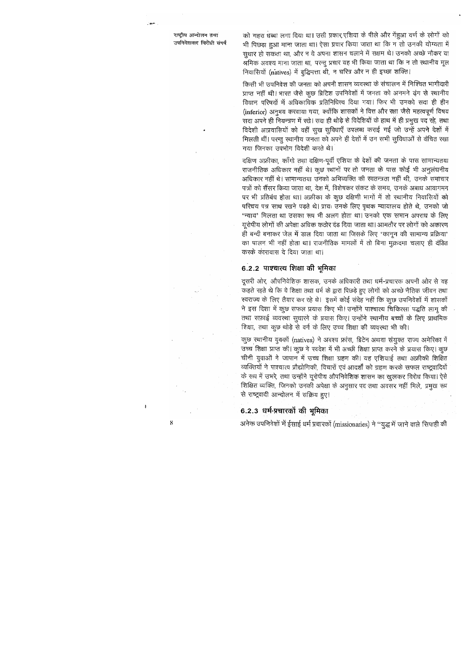राष्ट्रीय आन्दोलन तथा उपनिवेशवाद विरोधी संघर्ष

بمحبوب

को गहरा धब्बा लगा दिया था। उसी प्रकार,एशिया के पीले और गेंहुआ वर्ण के लोगों को भी पिछड़ा हुआ माना जाता था। ऐसा प्रचार किया जाता था कि न तो उनकी योग्यता में सूधार हो सकता था, और न वे अपना शासन चलाने में सक्षम थे। उनको अच्छे नौकर या श्रमिक अवश्य माना जाता था, परन्तु प्रचार यह भी किया जाता था कि न तो स्थानीय मूल निवासियों (natives) में बुद्धिमत्ता थी, न चरित्र और न ही इच्छा शक्ति।

किसी भी उपनिवेश की जनता को अपनी शासन व्यवस्था के संचालन में निश्चित भागीदारी प्राप्त नहीं थी। भारत जैसे कुछ ब्रिटिश उपनिवेशों में जनता को अनमने ढ़ंग से स्थानीय विधान परिषदों में अधिकाधिक प्रतिनिधित्त्व दिया गया। फिर भी उनको सदा ही हीन (inferior) अनुभव करवाया गया, क्योंकि शासकों ने वित्त और रक्षा जैसे महत्वपूर्ण विषय सदा अपने ही नियन्त्रण में रखे। सदा ही थोड़े से विदेशियों के हाथ में ही प्रमुख पद रहे, तथा विदेशी आप्रवासियों को वहीं सुख सुविधाएँ उपलब्ध कराई गई जो उन्हें अपने देशों में मिलती थीं। परन्तू स्थानीय जनता को अपने ही देशों में उन सभी सुविधाओं से वंचित रखा गया जिनका उपभोग विदेशी करते थे।

दक्षिण अफ्रीका, काँगो तथा दक्षिण-पूर्वी एशिया के देशों की जनता के पास सामान्यतया राजनीतिक अधिकार नहीं थे। कुछ स्थानों पर तो जनता के पास कोई भी अनुलंघनीय अधिकार नहीं थे। सामान्यतया उनको अभिव्यक्ति की स्वतन्त्रता नहीं थी, उनके समाचार पत्रों को सैंसर किया जाता था, देश में, विशेषकर संकट के समय, उनके अबाध आवागमन पर भी प्रतिबंध होता था। अफ्रीका के कुछ दक्षिणी भागों में तो स्थानीय निवासियों को परिचय पत्र साथ रखने पड़ते थे। प्रायः उनके लिए पृथक न्यायालय होते थे, उनको जो 'न्याय' मिलता था उसका रूप भी अलग होता था। उनको एक समान अपराध के लिए यूरोपीय लोगों की अपेक्षा अधिक कठोर दंड दिया जाता था। आमतौर पर लोगों को अकारण ही बन्दी बनाकर जेल में डाल दिया जाता था जिसके लिए 'कानून की सामान्य प्रक्रिया' का पालन भी नहीं होता था। राजनीतिक मामलों में तो बिना मुक़दमा चलाए ही दंडित करके कारावास दे दिया जाता था।

## 6.2.2 पाश्चात्य शिक्षा की भूमिका

दूसरी ओर, औपनिवेशिक शासक, उनके अधिकारी तथा धर्म-प्रचारक अपनी ओर से यह कहते रहते थे कि वे शिक्षा तथा धर्म के द्वारा पिछड़े हुए लोगों को अच्छे नैतिक जीवन तथा स्वराज्य के लिए तैयार कर रहे थे। इसमें कोई संदेह नहीं कि कुछ उपनिवेशों में शासकों ने इस दिशा में कुछ सफल प्रयास किए भी। उन्होंने पाश्चात्य चिकित्सा पद्धति लागू की तथा सफ़ाई व्यवस्था सूधारने के प्रयास किए। उन्होंने स्थानीय बच्चों के लिए प्राथमिक शिक्षा, तथा कुछ थोड़े से वर्ग के लिए उच्च शिक्षा की व्यवस्था भी की।

कुछ स्थानीय युवकों (natives) ने अवश्य फ्रांस, ब्रिटेन अथवा संयुक्त राज्य अमेरिका में उच्च शिक्षा प्राप्त की। कुछ ने स्वदेश में भी अच्छी शिक्षा प्राप्त करने के प्रयास किए। कुछ चीनी युवाओं ने जापान में उच्च शिक्षा ग्रहण की। यह एशियाई तथा अफ्रीकी शिक्षित व्यक्तियों ने पाश्चात्य प्रौद्योगिकी, विचारों एवं आदर्शों को ग्रहण करके सफल राष्ट्र्वादियों के रूप में उभरे, तथा उन्होंने यूरोपीय औपनिवेशिक शासन का खुलकर विरोध किया। ऐसे शिक्षित व्यक्ति, जिनको उनकी अपेक्षा के अनुसार पद तथा अवसर नहीं मिले, प्रमुख रूप से राष्ट्रवादी आन्दोलन में सक्रिय हुए।

## 6.2.3 धर्म-प्रचारकों की भुमिका

अनेक उपनिवेशों में ईसाई धर्म प्रचारकों (missionaries) ने "युद्ध में जाने वाले सिपाही की

J.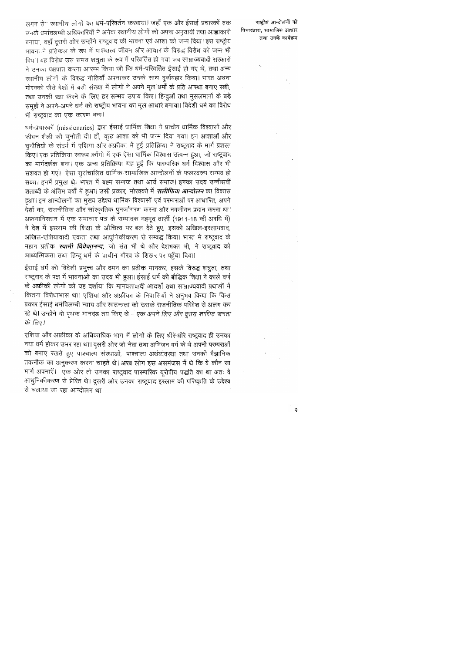लगन से" स्थानीय लोगों का धर्म-परिवर्तन करवायां। जहाँ एक और ईसाई प्रचारकों तक उनके धर्मावलम्बी अधिकारियों ने अनेक स्थानीय लोगों को अपना अनुयायी तथा आज्ञाकारी बनाया, वहाँ दुसरी ओर उन्होंने राष्ट्र्वाद की भावना एवं आशा को जन्म दिया। इस राष्ट्रीय भावना ने प्रतिफल के रूप में पाश्चात्य जीवन और आचार के विरुद्ध विरोध को जन्म भी दिया। यह विरोध उस समय शत्रूता के रूप में परिवर्तित हो गया जब साम्राज्यवादी सरकारों ने उनका पक्षपात करना आरम्भ किया जो कि धर्म-परिवर्तित ईसाई हो गए थे, तथा अन्य ख्यानीय लोगों के विरुद्ध नीतियाँ अपनाकर उनके साथ दुर्व्यवहार किया। भारत अथवा मोरक्को जैसे देशों में बड़ी संख्या में लोगों ने अपने मूल धर्मों के प्रति आरथा बनाए रखी, तथा उनकी रक्षा करने के लिए हर सम्भव उपाय किए। हिन्दुओं तथा मुसलमानों के बड़े समूहों ने अपने-अपने धर्म को राष्ट्रीय भावना का मूल आधार बनाया। विदेशी धर्म का विरोध भी राष्ट्रवाद का एक कारण बना।

धर्म-प्रचारकों (missionaries) द्वारा ईसाई धार्मिक शिक्षा ने प्राचीन धार्मिक विश्वासों और जीवन शैली को चुनौती दी। हाँ, कुछ आशा को भी जन्म दिया गया। इन आशाओं और चूनौतियों के संदर्भ में एशिया और अफ्रीका में हुई प्रतिक्रिया ने राष्ट्र्वाद के मार्ग प्रशस्त किए। एक प्रतिक्रिया स्वरूप काँगो में एक ऐसा धार्मिक विश्वास उत्पन्न हुआ, जो राष्ट्रवाद का मार्गदर्शक बना। एक अन्य प्रतिक्रिया यह हुई कि पारम्परिक धर्म विश्वास और भी सशक्त हो गएं। ऐसा सूसंचालित धार्मिक-सामाजिक आन्दोलनों के फलस्वरूप सम्भव हो सका। इनमें प्रमुख थेः भारत में ब्रह्म समाज तथा आर्य समाज। इनका उदय उन्नीसवीं |शताब्दी के अंतिम वर्षों में हुआ। उसी प्रकार, मोरक्को में *रालीफिया आन्दोलन* का विकास हुआ। इन आन्दोलनों का मुख्य उद्देश्य धार्मिक विश्वासों एवं परम्पराओं पर आधारित, अपने देशों का, राजनीतिक और सांस्कृतिक पुनर्जागरण करना और नवजीवन प्रदान करना था। अफ़गानिरतान में एक समाचार पत्र के सम्पादक महमूद तार्ज़ी (1911-18 की अवधि में) ने देश में इस्लाम की शिक्षा के औचित्य पर बल देते हुए, इसको अखिल-इस्लामवाद, अखिल-एशियावादी एकता तथा आधुनिकीकरण से सम्बद्ध किया। भारत में राष्ट्रवाद के महान प्रतीक *रवामी विवेकानन्द,* जो संत भी थे और देशभक्त भी, ने राष्ट्रवाद को आध्यत्मिकता तथा हिन्दू धर्म के प्राचीन गौरव के शिखर पर पहुँचा दिया।

ईसाई धर्म को विदेशी प्रभुत्त्व और दमन का प्रतीक मानकर, इसके विरुद्ध शत्रुता, तथा राष्ट्रवाद के पक्ष में भावनाओं का उदय भी हुआ। ईसाई धर्म की बौद्धिक शिक्षा ने काले वर्ण के अफ्रीकी लोगों को यह दर्शाया कि मानवतावादी आदर्शों तथा साम्राज्यवादी प्रथाओं में कितना विरोधाभास था। एशिया और अफ्रीका के निवासियों ने अनुभव किया कि किस प्रकार ईसाई धर्मविलम्बी न्याय और स्वतन्त्रता को उसके राजनीतिक परिवेश से अलग कर रहे थे। उन्होंने दो पृथक मानदंड तय किए थे - *एक अपने लिए और दूसरा शासित जनता* के लिए।

एशिया और अफ्रीका के अधिकाधिक भाग में लोगों के लिए धीरे-धीरे राष्ट्रवाद ही उनका नया धर्म होकर उभर रहा था। दूसरी ओर जो नेता तथा अभिजन वर्ग के थे अपनी परम्पराओं को बनाए रखते हुए पाश्चात्य संस्थाओं, पाश्चात्य अर्थव्यवस्था तथा उनकी वैज्ञानिक तकनीक का अनुकरण करना चाहते थे। अरब लोग इस असमंजस में थे कि वे कौन सा मार्ग अपनाएँ। एक ओर तो उनका राष्ट्रवाद पारम्परिक यूरोपीय पद्धति का था अतः वे आधुनिकीकरण से प्रेरित थे। दूसरी ओर उनका राष्ट्र्वाद इस्लाम की परिष्कृति के उद्देश्य से चलाया जा रहा आन्दोलन था।

राष्ट्रीय आन्दोलनो की विचारधारा, सामाजिक आधार तथा उनके कार्यक्रम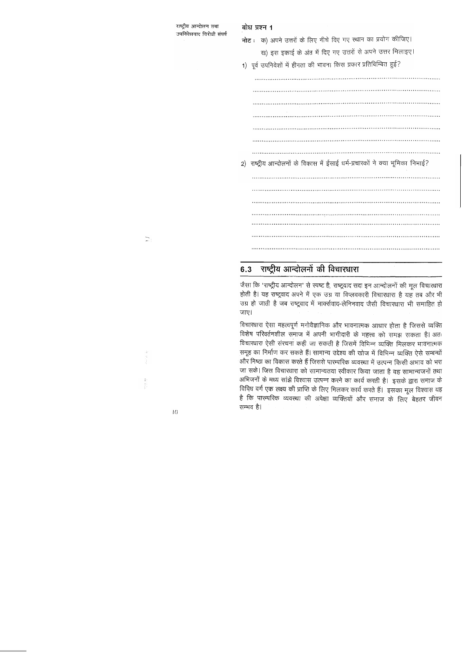| बोध प्रश्न 1                                                                  |  |
|-------------------------------------------------------------------------------|--|
| क) अपने उत्तरों के लिए नीचे दिए गए स्थान का प्रयोग कीजिए।<br>नोट ः            |  |
| ख) इस इकाई के अंत में दिए गए उत्तरों से अपने उत्तर मिलाइए।                    |  |
| 1) पूर्व उपनिवेशों में हीनता की भावना किस प्रकार प्रतिबिम्बित हुई?            |  |
|                                                                               |  |
|                                                                               |  |
|                                                                               |  |
|                                                                               |  |
|                                                                               |  |
|                                                                               |  |
|                                                                               |  |
| 2) राष्ट्रीय आन्दोलनों के विकास में ईसाई धर्म-प्रचारकों ने क्या भूमिका निभाई? |  |
|                                                                               |  |
|                                                                               |  |
|                                                                               |  |
|                                                                               |  |
|                                                                               |  |
|                                                                               |  |
|                                                                               |  |

# $\overline{\mathbb{D}}$

 $\begin{array}{c} 1 \\ 1 \\ 1 \\ 1 \\ 1 \end{array}$ 

राष्ट्रीय आन्दोलन तथा

उपनिवेशवाद विरोधी संघर्ष

## 6.3 राष्ट्रीय आन्दोलनों की विचारधारा

जैसा कि 'राष्ट्रीय आन्दोलन' से स्पष्ट है, राष्ट्रवाद सदा इन आन्दोलनों की मूल विचारधारा होती है। यह राष्ट्रवाद अपने में एक उग्र या विप्लवकारी विचारधारा है यह तब और भी उग्र हो जाती है जब राष्ट्रवाद में मार्क्सवाद-लेनिनवाद जैसी विचारधारा भी समाहित हो जाए।

विचारधारा ऐसा महत्वपूर्ण मनोवैज्ञानिक और भावनात्मक आधार होता है जिससे व्यक्ति विशेष परिवर्तनशील समाज में अपनी भागीदारी के महत्त्व को समझ सकता है। अतः विचारधारा ऐसी संरचना कही जा सकती है जिसमें विभिन्न व्यक्ति मिलकर भावनात्मक समूह का निर्माण कर सकते हैं। सामान्य उद्देश्य की खोज में विभिन्न व्यक्ति ऐसे सम्बन्धों और निष्ठा का विकास करते हैं जिससे पारम्परिक व्यवस्था में उत्पन्न किसी अभाव को भरा जा सके। जिस विचारधारा को सामान्यतया स्वीकार किया जाता है वह सामान्यजनों तथा अभिजनों के मध्य सांझे विश्वास उत्पन्न करने का कार्य करती है। इसके द्वारा समाज के विविध वर्ग एक लक्ष्य की प्राप्ति के लिए मिलकर कार्य करते हैं। इसका मूल विश्वास यह है कि पारम्परिक व्यवस्था की अपेक्षा व्यक्तियों और समाज के लिए बेहतर जीवन सम्भव है।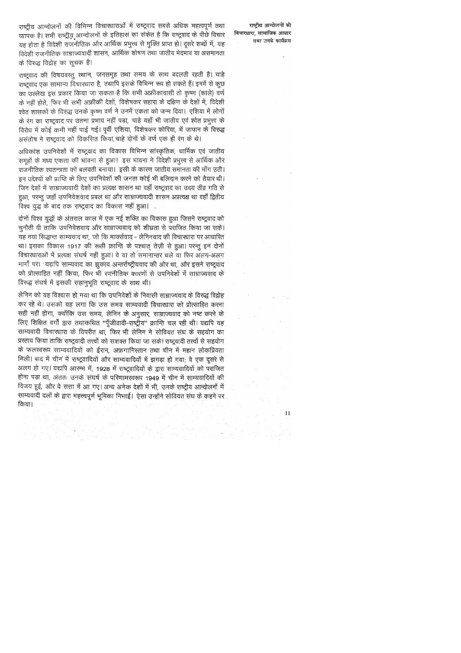राष्ट्रीय आन्दोलनों की विभिन्न विचारधाराओं में राष्ट्रवाद सबसे अधिक महत्वपूर्ण तथा व्यापक है। सभी राष्ट्रीय आन्दोलनों के इतिहास का संकेत है कि राष्ट्रवाद के पीछे विचार यह होता है विदेशी राजनीतिक और आर्थिक प्रभुत्त्व से मुक्ति प्राप्त हो। दूसरे शब्दों में, यह विदेशी राजनीतिक साम्राज्यवादी शासन, आर्थिक शोषण तथा जातीय भेदभाव या असमानता के विरुद्ध विद्रोह का सूचक है।

राष्ट्रवाद की विषयवस्तु स्थान, जनसमूह तथा समय के साथ बदलती रहती है। चाहे राष्ट्रवाद एक सामान्य विचारधारा है, तथापि इसके विभिन्न रूप हो सकते हैं। इनमें से कुछ का उल्लेख इस प्रकार किया जा सकता है कि सभी अफ्रीकावासी तो कृष्ण (काले) वर्ण के नहीं होते, फिर भी सभी अफ्रीकी देशों, विशेषकर सहारा के दक्षिण के देशों में, विदेशी श्वेत शासकों के विरुद्ध उनके कृष्ण वर्ण ने उनमें एकता को जन्म दिया। एशिया में लोगों के रंग का राष्ट्रवाद पर उतना प्रभाव नहीं पड़ा, चाहे यहाँ भी जातीय एवं श्वेत प्रभुत्त्व के विरोध में कोई कमी नहीं पाई गई। पूर्वी एशिया, विशेषकर कोरिया, में जापान के विरुद्ध असंतोष ने राष्ट्रवाद को विकसित किया, चाहे दोनों के वर्ण एक ही रंग के थे।

अधिकांश उपनिवेशों में राष्ट्रवाद का विकास विभिन्न सांस्कृतिक, धार्मिक एवं जातीय समूहों के मध्य एकता की भावना से हुआ। इस भावना ने विदेशी प्रभुत्त्व से आर्थिक और राजनीतिक स्वतन्त्रता को बलवती बनाया। इसी के कारण जातीय समानता की माँग उठी। इन उद्देश्यों की प्राप्ति के लिए उपनिवेशों की जनता कोई भी बलिदान करने को तैयार थी। जिन देशों में साम्राज्यवादी देशों का प्रत्यक्ष शासन था वहाँ राष्ट्रवाद का उदय तीव्र गति से हुआ, परन्तु जहाँ उपनिवेशवाद प्रबल था और साम्राज्यवादी शासन अप्रत्यक्ष था वहाँ द्वितीय विश्व युद्ध के बाद तक राष्ट्रवाद का विकास नहीं हुआ।

दोनों विश्व युद्धों के अंतराल काल में एक नई शक्ति का विकास हुआ जिसने राष्ट्रवाद को चुनौती दी ताकि उपनिवेशवाद और साम्राज्यवाद को शीघ्रता से पराजित किया जा सके। यह नया सिद्धान्त साम्यवाद था, जो कि मार्क्सवाद - लेनिनवाद की विचारधारा पर आधारित था। इसका विकास 1917 की रूसी क्रान्ति के पश्चात तेज़ी से हुआ। परन्तु इन दोनों विचारधाराओं में प्रत्यक्ष संघर्ष नहीं हुआ। वे या तो समानान्तर चले या फिर अलग-अलग मार्गों पर। यद्यपि साम्यवाद का झुकाव अन्तर्राष्ट्रीयवाद की ओर था, और इसने राष्ट्रवाद को प्रोत्साहित नहीं किया, फिर भी रणनीतिक कारणों से उपनिवेशों में साम्राज्यवाद के विरुद्ध संघर्ष में इसकी सहानुभूति राष्ट्रवाद के साथ थी।

लेनिन को यह विश्वास हो गया था कि उपनिवेशों के निवासी साम्राज्यवाद के विरुद्ध विद्रोह कर रहे थे। उसको यह लगा कि उस समय साम्यवादी विचारधारा को प्रोत्साहित करना सही नहीं होगा, क्योंकि उस समय, लेनिन के अनुसार, साम्राज्यवाद को नष्ट करने के लिए शिक्षित वर्गों द्वारा तथाकथित "पूँजीवादी-राष्ट्रीय" क्रान्ति चल रही थी। यद्यपि यह साम्यवादी विचारधारा के विपरीत था, फिर भी लेनिन ने सोवियत संघ के सहयोग का प्रस्ताव किया ताकि राष्ट्रवादी तत्त्वों को सशक्त किया जा सके। राष्ट्रवादी तत्त्वों से सहयोग के फलस्वरूप साम्यवादियों को ईरान, अफ़गानिस्तान तथा चीन में महान लोकप्रियता मिली। बाद में चीन में राष्ट्रवादियों और साम्यवादियों में झगड़ा हो गया, वे एक दूसरे से अलग हो गए। यद्यपि आरम्भ में, 1928 में राष्ट्रवादियों के द्वारा साम्यवादियों को पराजित होना पड़ा था, अंततः उनके संघर्ष के परिणामस्वरूप 1949 में चीन में साम्यवादियों की विजय हुई, और वे सत्ता में आ गए। अन्य अनेक देशों में भी, उनके राष्ट्रीय आन्दोलनों में साम्यवादी दलों के द्वारा महत्त्वपूर्ण भूमिका निभाई। ऐसा उन्होंने सोवियत संघ के कहने पर किया।

राष्ट्रीय आन्दोलनों की विचारधारा, सामाजिक आधार तथा उनके कार्यक्रम

 $\pm 1$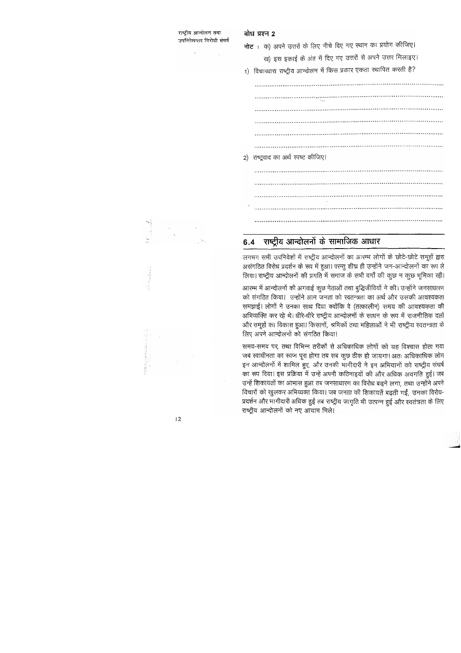## बोध प्रश्न 2

राष्टीय आन्दोलन तथा

उपनिवेशवाद विरोधी संघर्ष

नोट : क) अपने उत्तरों के लिए नीचे दिए गए स्थान का प्रयोग कीजिए।

ख) इस इकाई के अंत में दिए गए उत्तरों से अपने उत्तर मिलाइए।

1) विचारधारा राष्ट्रीय आन्दोलन में किस प्रकार एकता स्थापित करती है?

2) राष्ट्रवाद का अर्थ स्पष्ट कीजिए।

### राष्ट्रीय आन्दोलनों के सामाजिक आधार  $6.4$

लगभग सभी उपनिवेशों में राष्ट्रीय आन्दोलनों का आरम्भ लोगों के छोटे-छोटे समूहों द्वारा असंगठित विरोध प्रदर्शन के रूप में हुआ। परन्तु शीघ्र ही उन्होंने जन-आन्दोलनों का रूप ले लिया। राष्ट्रीय आन्दोलनों की प्रगति में समाज के सभी वर्गों की कुछ न कुछ भूमिका रही।

आरम्भ में आन्दोलनों की अगवाई कुछ नेताओं तथा बुद्धिजीवियों ने की। उन्होंने जनसाधारण को संगठित किया। उन्होंने आम जनता को स्वतन्त्रता का अर्थ और उसकी आवश्यकता समझाई। लोगों ने उनका साथ दिया क्योंकि वे (तत्कालीन) समय की आवश्यकता की अभिव्यक्ति कर रहे थे। धीरे-धीरे राष्ट्रीय आन्दोलनों के साधन के रूप में राजनीतिक दलों और समूहों का विकास हुआ। किसानों, श्रमिकों तथा महिलाओं ने भी राष्ट्रीय स्वतन्त्रता के लिए अपने आन्दोलनों को संगठित किया।

समय-समय पर, तथा विभिन्न तरीकों से अधिकाधिक लोगों को यह विश्वास होता गया जब स्वाधीनता का स्वप्न पूरा होगा तब सब कुछ ठीक हो जायगा। अतः अधिकाधिक लोग इन आन्दोलनों में शामिल हुए, और उनकी भागीदारी ने इन अभियानों को राष्ट्रीय संघर्ष का रूप दिया। इस प्रक्रिया में उन्हें अपनी कठिनाइयों की और अधिक अवगति हुई। जब उन्हें शिकायतों का आभास हुआ तब जनसाधारण का विरोध बढ़ने लगा, तथा उन्होंने अपने विचारों को खुलकर अभिव्यक्त किया। जब जनता की शिकायतें बढ़ती गईं, उनका विरोध-प्रदर्शन और भागीदारी अधिक हुई तब राष्ट्रीय जागृति भी उत्पन्न हुई और स्वतंत्रता के लिए राष्ट्रीय आन्दोलनों को नए आयाम मिले।

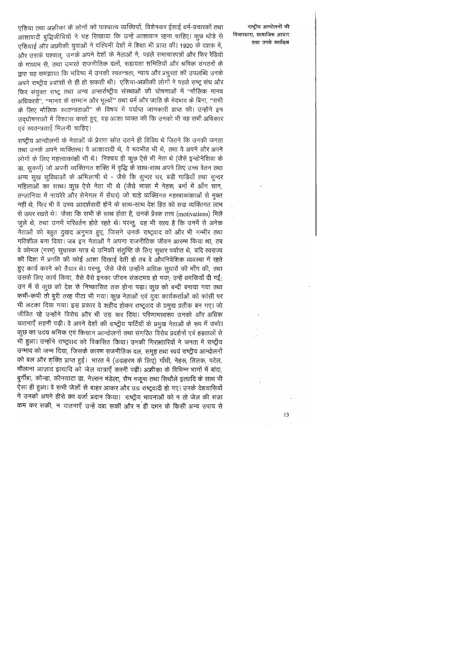राष्टीय आन्दोलनों की विचारधारा, सामाजिक आधार तथा उनके कार्यक्रम

एशिया तथा अफ्रीका के लोगों को पाश्चात्य व्यक्तियों, विशेषकर ईसाई धर्म-प्रचारकों तथा आशावादी बुद्धिजीवियों ने यह सिखाया कि उन्हें आशावान रहना चाहिए। कुछ थोड़े से एशियाई और अफ्रीकी युवाओं ने पश्चिमी देशों में शिक्षा भी प्राप्त की। 1920 के दशक में, और उसके पश्चात, उनके अपने देशों के नेताओं ने, पहले समाचारपत्रों और फिर रेडियो के माध्यम से, तथा उभरते राजनीतिक दलों, सहायता समितियों और श्रमिक संगठनों के द्वारा यह समझाया कि भविष्य में उनकी स्वतन्त्रता, न्याय और प्रचुरता की उपलब्धि उनके अपने राष्ट्रीय प्रयासों से ही हो सकती थी। एशिया-अफ्रीकी लोगों ने पहले राष्ट्र संघ और फिर संयुक्त राष्ट्र तथा अन्य अन्तर्राष्ट्रीय संस्थाओं की घोषणाओं में ''मौलिक मानव अधिकारों", "मानव के सम्मान और मूल्यों" तथा धर्म और जाति के भेदभाव के बिना, "सभी के लिए मौलिक खतन्त्रताओं" के विषय में पर्याप्त जानकारी प्राप्त की। उन्होंने इन उदघोषणाओं में विश्वास करते हुए, यह आशा व्यक्त की कि उनको भी यह सभी अधिकार एवं स्वतन्त्रताएँ मिलनी चाहिए।

राष्ट्रीय आन्दोलनों के नेताओं के प्रेरणा स्रोत उतने ही विविध थे जितने कि उनकी जनता तथा उनके अपने व्यक्तित्त्व। वे आशावादी थे, वे भयभीत भी थे, तथा वे अपने और अपने लोगों के लिए महत्त्वाकांक्षी भी थे। निश्चय ही कुछ ऐसे भी नेता थे (जैसे इन्डोनेशिया के डा. सुकर्ण) जो अपनी व्यक्तिगत शक्ति में वृद्धि के साथ-साथ अपने लिए उच्च वेतन तथा अन्य सूख सूविधाओं के अभिलाषी थे - जैसे कि सून्दर घर, बड़ी गाड़ियाँ तथा सून्दर महिलाओं का साथ। कुछ ऐसे नेता भी थे (जैसे भारत में नेहरू, बर्मा में आँग सान, तन्ज़ानिया में नायरेरे और सेनेगल में सेंघर) जो चाहे व्यक्तिगत महत्त्वाकांक्षाओं से मुक्त नहीं थे, फिर भी वे उच्च आदर्शवादी होने के साथ-साथ देश हित को सदा व्यक्तिगत लाभ से ऊपर रखते थे। जैसा कि सभी के साथ होता है, उनके प्रेरक तत्त्व (motivations) मिले जुले थे, तथा उनमें परिवर्तन होते रहते थे। परन्तु, यह भी सत्य है कि उनमें से अनेक नेताओं को बहुत दुखद अनुभव हुए, जिसने उनके राष्ट्रवाद को और भी गम्भीर तथा गतिशील बना दिया। जब इन नेताओं ने अपना राजनीतिक जीवन आरम्भ किया था, तब वे कोमल (नरम) सुधारक मात्र थे उनिकी संतुष्टि के लिए सुधार पर्याप्त थे, यदि स्वराज्य की दिशा में प्रगति की कोई आशा दिखाई देती हो तब वे औपनिवेशिक व्यवस्था में रहते हुए कार्य करने को तैयार थे। परन्तु, जैसे जैसे उन्होंने अधिक सुधारों की माँग की, तथा उसके लिए कार्य किया, वैसे वैसे इनका जीवन संकटमय हो गया; उन्हें धमकियाँ दी गईं; उन में से कुछ को देश से निष्कासित तक होना पड़ा। कुछ को बन्दी बनाया गया तथा कभी-कभी तो बुरी तरह पीटा भी गया। कुछ नेताओं एवं युवा कार्यकर्त्ताओं को फांसी पर भी लटका दिया गया। इस प्रकार वे शहीद होकर राष्ट्रवाद के प्रमुख प्रतीक बन गए। जो जीवित रहे उन्होंने विरोध और भी उग्र कर दिया। परिणामस्वरूप उनको और अधिक यातनाएँ सहनी पड़ी। वे अपने देशों की राष्ट्रीय पार्टियों के प्रमुख नेताओं के रूप में उभरे। कुछ का उदय श्रमिक एवं किसान आन्दोलनों तथा संगठित विरोध प्रदर्शनों एवं हड़तालों से भी हुआ। उन्होंने राष्ट्रवाद को विकसित किया। उनकी गिरफ़्तारियों ने जनता में राष्ट्रीय उन्माद को जन्म दिया, जिसके कारण राजनीतिक दल, समूह तथा स्वयं राष्ट्रीय आन्दोलनों को बल और शक्ति प्राप्त हुई। भारत में (उदाहरण के लिए) गाँधी, नेहरू, तिलक, पटेल, मौलाना आज़ाद इत्यादि को जेल यात्राएँ करनी पड़ीं। अफ्रीका के विभिन्न भागों में बांदा, बुर्गीबा, कौन्डा, कीनयाटा डा. नेल्सन मंडेला, सैम नजूमा तथा सिथौले इत्यादि के साथ भी ऐसा ही हुआ। वे सभी जेलों से बाहर आकर और उग्र राष्ट्रवादी हो गए। उनके देशवासियों ने उनको अपने हीरो का दर्जा प्रदान किया। राष्ट्रीय भावनाओं को न तो जेल की सज़ा कम कर सकी, न यातनाएँ उन्हें दबा सकीं और न ही दमन के किसी अन्य उपाय से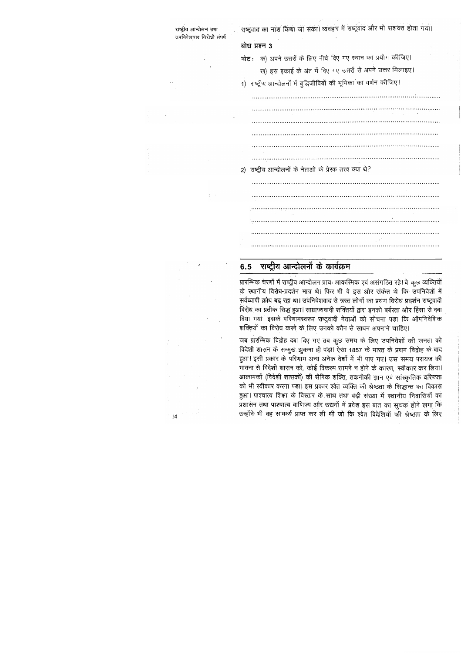

 $14$ 

#### राष्ट्रीय आन्दोलनों के कार्यक्रम  $6.5$

प्रारम्भिक चरणों में राष्ट्रीय आन्दोलन प्रायः आकस्मिक एवं असंगठित रहे। वे कुछ व्यक्तियों के स्थानीय विरोध-प्रदर्शन मात्र थे। फिर भी वे इस ओर संकेत थे कि उपनिवेशों में सर्वव्यापी क्रोध बढ़ रहा था। उपनिवेशवाद से त्रस्त लोगों का प्रथम विरोध प्रदर्शन राष्ट्रवादी विरोध का प्रतीक सिद्ध हुआ। साम्राज्यवादी शक्तियों द्वारा इनको बर्बरता और हिंसा से दबा दिया गया। इसके परिणामस्वरूप राष्ट्रवादी नेताओं को सोचना पड़ा कि औपनिवेशिक शक्तियों का विरोध करने के लिए उनको कौन से साधन अपनाने चाहिए।

जब प्रारम्भिक विद्रोह दबा दिए गए तब कुछ समय के लिए उपनिवेशों की जनता को विदेशी शासन के सम्मुख झुकना ही पड़ा। ऐसा 1857 के भारत के प्रथम विद्रोह के बाद हुआ। इसी प्रकार के परिणाम अन्य अनेक देशों में भी पाए गए। उस समय परायज की भावना से विदेशी शासन को, कोई विकल्प सामने न होने के कारण, स्वीकार कर लिया। आक्रामकों (विदेशी शासकों) की सैनिक शक्ति, तकनीकी ज्ञान एवं सांस्कृतिक वरिष्ठता को भी स्वीकार करना पड़ा। इस प्रकार श्वेत व्यक्ति की श्रेष्ठता के सिद्धान्त का विकास हुआ। पाश्चात्य शिक्षा के विस्तार के साथ तथा बड़ी संख्या में स्थानीय निवासियों का प्रशासन तथा पाश्चात्य वाणिज्य और उद्यमों में प्रवेश इस बात का सूचक होने लगा कि उन्होंने भी वह सामर्थ्य प्राप्त कर ली थी जो कि श्वेत विदेशियों की श्रेष्ठता के लिए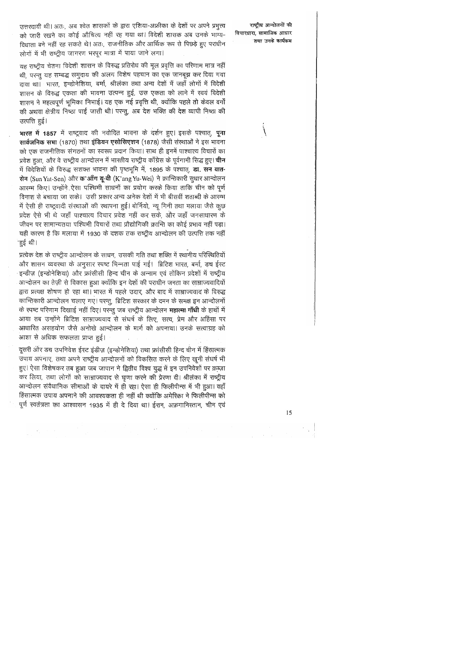उत्तरदायी थी। अतः, अब श्वेत शासकों के द्वारा एशिया-अफ्रीका के देशों पर अपने प्रभुत्त्व को जारी रखने का कोई औचित्य नहीं रह गया था। विदेशी शासक अब उनके भाग्य-विधाता बने नहीं रह सकते थे। अतः, राजनीतिक और आर्थिक रूप से पिछड़े हुए पराधीन लोगों में भी राष्ट्रीय जागरण भरपूर मात्रा में पाया जाने लगा।

राष्ट्रीय आन्दोलनों की विचारधारा. सामाजिक आधार तथा उनके कार्यक्रम

यह राष्ट्रीय चेतना विदेशी शासन के विरुद्ध प्रतिरोध की मूल प्रवृत्ति का परिणाम मात्र नहीं थी, परन्तु यह सम्बद्ध समुदाय की अलग विशेष पहचान का एक जानबूझ कर दिया गया दावा था। भारत, इन्डोनेशिया, बर्मा, श्रीलंका तथा अन्य देशों में जहाँ लोगों में विदेशी शासन के विरुद्ध एकता की भावना उत्पन्न हुई, उस एकता को लाने में स्वयं विदेशी शासन ने महत्वपूर्ण भूमिका निभाई। यह एक नई प्रवृत्ति थी, क्योंकि पहले तो केवल वर्गों की अथवा क्षेत्रीय निष्ठा पाई जाती थी। परन्तु, अब देश भक्ति की देश व्यापी निष्ठा की उत्पत्ति हुई।

भारत में 1857 में राष्ट्रवाद की नवोदित भावना के दर्शन हुए। इसके पश्चात्, **पूना** सार्वजनिक सभा (1870) तथा इंडियन एसोसिएशन (1878) जैसी संस्थाओं ने इस भावना को एक राजनीतिक संगठनों का स्वरूप प्रदान कियां। साथ ही इनमें पाश्चात्य विचारों का प्रवेश हुआ, और वे राष्ट्रीय आन्दोलन में भारतीय राष्ट्रीय काँग्रेस के पूर्वगामी सिद्ध हुए। **चीन** में विदेशियों के विरुद्ध सशक्त भावना की पृष्ठभूमि में, 1895 के पश्चात्, **डा. सन यात-**सेन (Sun Yat-Sen) और क'आँग यू-वी (K'ang Yu-Wei) ने क्रान्तिकारी सुधार आन्दोलन आरम्भ किए। उन्होंने ऐसा पश्चिमी साधनों का प्रयोग करके किया ताकि चीन को पूर्ण विनाश से बचाया जा सके। उसी प्रकार अन्य अनेक देशों में भी बीसवीं शताब्दी के आरम्भ में ऐसी ही राष्ट्रवादी संस्थाओं की स्थापना हुई। बोर्नियो, न्यू गिनी तथा मलाया जैसे कुछ प्रदेश ऐसे भी थे जहाँ पाश्चात्य विचार प्रवेश नहीं कर सके, और जहाँ जनसाधारण के जीवन पर सामान्यतया पश्चिमी विचारों तथा प्रौद्योगिकी क्रान्ति का कोई प्रभाव नहीं पड़ा। यही कारण है कि मलाया में 1930 के दशक तक राष्ट्रीय आन्दोलन की उत्पत्ति तक नहीं <sup>-</sup>हुई थी।

प्रत्येक देश के राष्ट्रीय आन्दोलन के साधन, उसकी गति तथा शक्ति में स्थानीय परिस्थितियों और शासन व्यवस्था के अनुसार स्पष्ट भिन्नता पाई गई। ब्रिटिश भारत, बर्मा, डच ईस्ट - इन्डीज़ (इन्डोनेशिया) और फ्रांसीसी हिन्द चीन के अन्नाम एवं तोंकिन प्रदेशों में राष्ट्रीय आन्दोलन का तेज़ी से विकास हुआ क्योंकि इन देशों की पराधीन जनता का साम्राज्यवादियों द्वारा प्रत्यक्ष शोषण हो रहा था। भारत में पहले उदार, और बाद में साम्राज्यवाद के विरुद्ध कान्तिकारी आन्दोलन चलाए गए। परन्तु, ब्रिटिश सरकार के दमन के समक्ष इन आन्दोलनों के स्पष्ट परिणाम दिखाई नहीं दिए। परन्तु जब राष्ट्रीय आन्दोलन **महात्मा गाँधी** के हाथों में आया तब उन्होंने ब्रिटिश साम्राज्यवाद से संघर्ष के लिए, सत्य, प्रेम और अहिंसा पर आधारित असहयोग जैसे अनोखे आन्दोलन के मार्ग को अपनाया। उनके सत्याग्रह को आशा से अधिक सफलता प्राप्त हुई।

दूसरी ओर डच उपनिवेश ईस्ट इंडीज़ (इन्डोनेशिया) तथा फ्रांसीसी हिन्द चीन में हिंसात्मक उपाय अपनाए, तथा अपने राष्ट्रीय आन्दोलनों को विकसित करने के लिए खूनी संघर्ष भी हुए। ऐसा विशेषकर तब हुआ जब जापान ने द्वितीय विश्व युद्ध में इन उपनिवेशों पर क़ब्ज़ा कर लिया, तथा लोगों को साम्राज्यवाद से घृणा करने की प्रेरणा दी। श्रीलंका में राष्ट्रीय आन्दोलन संवैधानिक सीमाओं के दायरे में ही रहा। ऐसा ही फिलीपीन्स में भी हुआ। वहाँ हिंसात्मक उपाय अपनाने की आवश्यकता ही नहीं थी क्योंकि अमेरिका ने फिलीपीन्स को पूर्ण स्वतंत्रता का आश्वासन 1935 में ही दे दिया था। ईरान, अफ़गानिस्तान, चीन एवं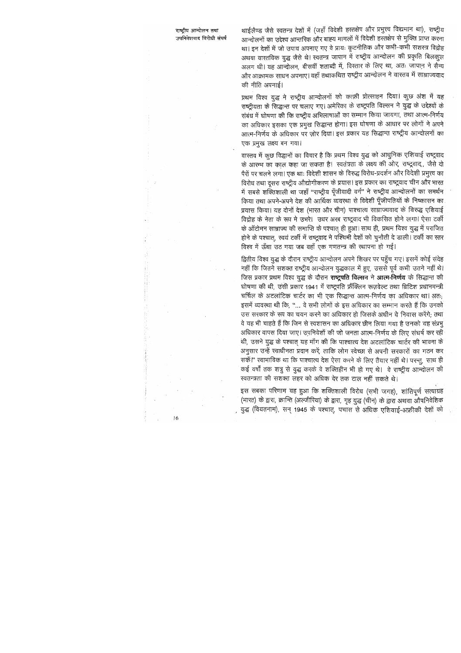थाईलैण्ड जैसे स्वतन्त्र देशों में (जहाँ विदेशी हरतक्षेप और प्रभुत्त्व विद्यमान था), राष्ट्रीय आन्दोलनों का उद्देश्य आन्तरिक और बाह्य मामलों में विदेशी हरतक्षेप से मुक्ति प्राप्त करना था। इन देशों में जो उपाय अपनाए गए वे प्रायः कूटनीतिक और कभी-कभी संशस्त्र विद्रोह अथवा वास्तविक युद्ध जैसे थे। स्वतन्त्र जापान में राष्ट्रीय आन्दोलन की प्रकृति बिलकूल अलग थी। यह आन्दोलन, बीसवीं शताब्दी में, विस्तार के लिए था, अतः जापान ने सैन्य और आक्रामक साधन अपनाए। वहाँ तथाकथित राष्ट्रीय आन्दोलन ने वास्तव में साम्राज्यवाद की नीति अपनाई।

प्रथम विश्व युद्ध ने राष्ट्रीय आन्दोलनों को काफ़ी प्रोत्साहन दिया। कुछ अंश में यह राष्ट्रीयता कें सिद्धान्त पर चलाए गए। अमेरिका के राष्ट्रपति विल्सन ने युद्ध के उद्देश्यों के संबंध में घोषणा की कि राष्ट्रीय अभिलाषाओं का सम्मान किया जायगा, तथा आत्म-निर्णय का अधिकार इसका एक प्रमुख सिद्धान्त होगा। इस घोषणा के आधार पर लोगों ने अपने आत्म-निर्णय के अधिकार पर ज़ोर दिया। इस प्रकार यह सिद्धान्त राष्ट्रीय आन्दोलनों का एक प्रमुख लक्ष्य बन गया।

वास्तव में कुछ विद्धानों का विचार है कि प्रथम विश्व युद्ध को आधुनिक एशियाई राष्ट्रवाद के आरम्भ का काल कहा जा सकता है। स्वतंत्रता के लक्ष्य की ओर, राष्ट्रवाद,, जैसे दो पैरों पर चलने लगा। एक थाः विदेशी शासन के विरुद्ध विरोध-प्रदर्शन और विदेशी प्रभुत्त्व का विरोध तथा दूसरा राष्ट्रीय औद्योगीकरण के प्रयास। इस प्रकार का राष्ट्रवाद चीन और भारत में सबसे शक्तिशाली था जहाँ ''राष्ट्रीय पूँजीवादी वर्ग'' ने राष्ट्रीय आन्दोलनों का समर्थन किया तथा अपने-अपने देश की आर्थिक व्यवस्था से विदेशी पूँजीपतियों के निष्कासन का प्रयास किया। यह दोनों देश (भारत और चीन) पाश्चात्य साम्राज्यवाद के विरुद्ध एशियाई विद्रोह के नेता के रूप मे उभरे। उधर अरब राष्ट्रवाद भी विकसित होने लगा। ऐसा टर्की के ऑटोमन साम्राज्य की समाप्ति के पश्चात् ही हुआ। साथ ही, प्रथम विश्व युद्ध में पराजित होने के पश्चात्, स्वयं टर्की में राष्ट्रवाद ने पश्चिमी देशों को चुनौती दे डाली। टर्की का स्तर विश्व में ऊँचा उठ गया जब वहाँ एक गणतन्त्र की स्थापना हो गई।

द्वितीय विश्व युद्ध के दौरान राष्ट्रीय आन्दोलन अपने शिखर पर पहुँच गए। इसमें कोई संदेह नहीं कि जितने सशक्त राष्ट्रीय आन्दोलन युद्धकाल में हुए, उससे पूर्व कभी उतने नहीं थे। जिस प्रकार प्रथम विश्व युद्ध के दौरान **राष्ट्रपति विल्सन** ने **आत्म-निर्णय** के सिद्धान्त की घोषणा की थी, उसी प्रकार 1941 में राष्ट्रपति फ्रैंक्लिन रूज़वेल्ट तथा ब्रिटिश प्रधानमन्त्री चर्चिल के अटलांटिक चार्टर का भी एक सिद्धान्त आत्म-निर्णय का अधिकार था। अतः, इसमें व्यवस्था थी कि, ''... वे सभी लोगों के इस अधिकार का सम्मान करते हैं कि उनको उस सरकार के रूप का चयन करने का अधिकार हो जिसके अधीन वे निवास करेंगे; तथा वे यह भी चाहते हैं कि जिन से स्वशासन का अधिकार छीन लिया गया है उनको यह संप्रभु अधिकार वापस दिया जाए। उपनिवेशों की जो जनता आत्म-निर्णय के लिए संघर्ष कर रही थी, उसने युद्ध के पश्चात् यह माँग की कि पाश्चात्य देश अटलांटिक चार्टर की भावना के अनुसार उन्हें स्वाधीनता प्रदान करें, ताकि लोग स्वेच्छा से अपनी सरकारों का गठन कर सकें।'' स्वाभाविक था कि पाश्चात्य देश ऐसा करने के लिए तैयार नहीं थे। परन्तु, साथ ही कई वर्षों तक शत्रु से युद्ध करके वे शक्तिहीन भी हो गए थे। वे राष्ट्रीय आन्दोलन की स्वतन्त्रता की सशक्त लहर को अधिक देर तक टाल नहीं सकते थे।

इस सबका परिणाम यह हुआ कि शक्तिशाली विरोध (सभी जगह), शांतिपूर्ण सत्याग्रह (भारत) के द्वारा, क्रान्ति (अल्जीरिया) के द्वारा, गृह युद्ध (चीन) के द्वारा अथवा औषनिवेशिक युद्ध (वियतनाम), सन् 1945 के पश्चात्, पचास से अधिक एशियाई-अफ्रीकी देशों को

 $\overline{6}$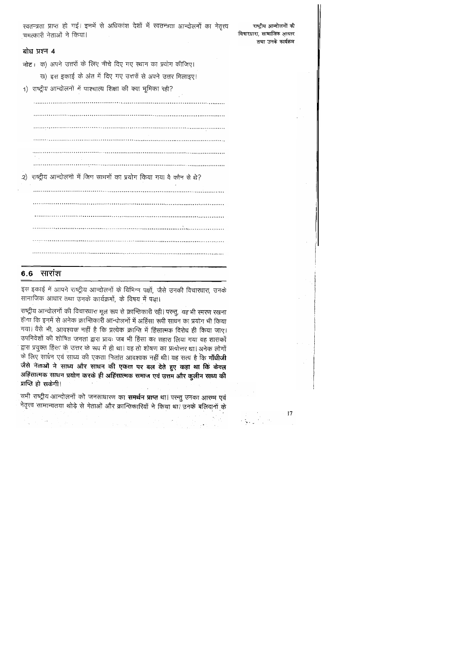|                          |  |  |  |  | रवतन्त्रता प्राप्त हो गई। इनमें से अधिकांश देशों में स्वतन्त्रता आन्दोलनों का नेतृत्त्व |  |  |
|--------------------------|--|--|--|--|-----------------------------------------------------------------------------------------|--|--|
| चमत्कारी नेताओं ने किया। |  |  |  |  |                                                                                         |  |  |

## बोध प्रश्न 4

नोट: क) अपने उत्तरों के लिए नीचे दिए गए स्थान का प्रयोग कीजिए।

ख) इस इकाई के अंत में दिए गए उत्तरों से अपने उत्तर मिलाइए।

1) राष्ट्रीय आन्दोलनों में पाश्चात्य शिक्षा की क्या भूमिका रही?

2) राष्ट्रीय आन्दोलनों में जिन साधनों का प्रयोग किया गया वे कौन से थे? 

 $\mathcal{A}^{\mathcal{A}}_{\mathcal{A}}(\mathcal{A}^{\mathcal{A}}_{\mathcal{A}}(\mathcal{A}^{\mathcal{A}}_{\mathcal{A}}(\mathcal{A}^{\mathcal{A}}_{\mathcal{A}}(\mathcal{A}^{\mathcal{A}}_{\mathcal{A}}(\mathcal{A}^{\mathcal{A}}_{\mathcal{A}}(\mathcal{A}^{\mathcal{A}}_{\mathcal{A}}(\mathcal{A}^{\mathcal{A}}_{\mathcal{A}})^{\mathcal{A}})))$ 

## **6.6 सारांश**

इस इकाई में आपने राष्ट्रीय आन्दोलनों के विभिन्न पक्षों, जैसे उनकी विचारधारा, उनके सामाजिक आधार तथा उनके कार्यक्रमों, के विषय में पढ़ा।

राष्ट्रीय आन्दोलनों की विचारधारा मूल रूप से क्रान्तिकारी रही। परन्तु, यह भी स्मरण रखना होगा कि इनमें से अनेक क्रान्तिकारी आन्दोलनों में अहिंसा रूपी साधन का प्रयोग भी किया गया। वैसे भी, आवश्यक नहीं है कि प्रत्येक क्रान्ति में हिंसात्मक विरोध ही किया जाए। उपनिवेशों की शोषित जनता द्वारा प्रायः जब भी हिंसा का सहारा लिया गया वह शासकों द्वारा प्रयुक्त हिंसा के उत्तर के रूप में ही था। वह तो शोषण का प्रत्योत्तर था। अनेक लोगों के लिए साधन एवं साध्य की एकता नितांत आवश्यक नहीं थी। यह सत्य है कि **गाँधीजी** जैसे नेताओं ने साध्य और साधन की एकता पर बल देते हुए कहा था कि केवल अहिंसात्मक साधन प्रयोग करके ही अहिंसात्मक समाज एवं उत्तम और कुलीन साध्य की प्राप्ति हो सकेगी।

सभी राष्ट्रीय आन्दोलनों को जनसाधारण का **समर्थन प्राप्त** था। परन्तु उनका आरम्भ एवं नेतृत्त्व सामान्यतया थोड़े से नेताओं और क्रान्तिकारियों ने किया था। उनके बलिदानों के

राष्ट्रीय आन्दोलनों की विचारधारा, सामाजिक आधार

तथा उनके कार्यक्रम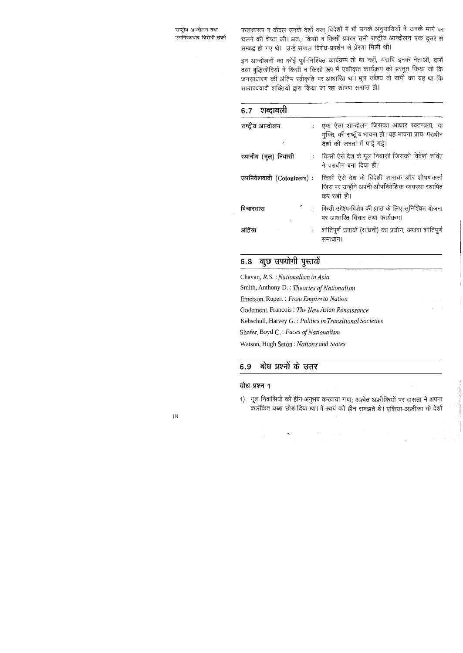राष्ट्रीय आन्दोलन तथा उपनिवेशवाद विरोधी संघर्ष फलस्वरूप न केवल उनके देशों वरन् विदेशों में भी उनके अनुयायियों ने उनके मार्ग पर चलने की चेष्टा की। अतः, किसी न किसी प्रकार सभी राष्ट्रीय आन्दोलन एक दूसरे से सम्बद्ध हो गए थे। उन्हें सफल विरोध-प्रदर्शन से प्रेरणा मिली थी।

इन आन्दोलनों का कोई पूर्व-निश्चित कार्यक्रम तो था नहीं, यद्यपि इनके नेताओं, दलों तथा बुद्धिजीवियों ने किसी न किसी रूप में एकीकृत कार्यक्रम को प्रस्तुत किया जो कि जनसाधारण की अंतिम स्वीकृति पर आधारित था। मूल उद्देश्य तो सभी का यह था कि साम्राज्यवादी शक्तियों द्वारा किया जा रहा शोषण समाप्त हो।

| 6.7 शब्दावली              |                             |                                                                                                                                 |
|---------------------------|-----------------------------|---------------------------------------------------------------------------------------------------------------------------------|
| राष्ट्रीय आन्दोलन         | $\mathcal{E}^{\mathcal{E}}$ | एक ऐसा आन्दोलन जिसका आधार स्वतन्त्रता, या<br>मुक्ति, की राष्ट्रीय भावना हो। यह भावना प्रायः पराधीन<br>देशों की जनता में पाई गई। |
| रथानीय (मूल) निवासी       |                             | : ) किसी ऐसे देश के मूल निवासी जिसको विदेशी शक्ति<br>ने पराधीन बना दिया हो।                                                     |
| उपनिवेशवादी (Colonizers): |                             | किसी ऐसे देश के विदेशी शासक और शोषणकर्त्ता<br>जिस पर उन्होंने अपनी औपनिवेशिक व्यवस्था स्थापित<br>कर रखी हो।                     |
| विचारधारा                 |                             | किसी उद्देश्य-विशेष की प्राप्त के लिए सुनिश्चित योजना<br>पर आधारित विचार तथा कार्यक्रम।                                         |
| अहिंसा                    |                             | : ) शांतिपूर्ण उपायों (साधनों) का प्रयोग, अथवा शांतिपूर्ण<br>समाधान।                                                            |

## 6.8 कुछ उपयोगी पुस्तकें

Chavan, R.S. : Nationalism in Asia Smith, Anthony D. : Theories of Nationalism Emerson, Rupert: From Empire to Nation Godement, Francois: The New Asian Renaissance Kebschull, Harvey G.: Politics in Transitional Societies Shafer, Boyd C.: Faces of Nationalism Watson, Hugh Seton: Nations and States

#### बोध प्रश्नों के उत्तर 6.9

 $\mathcal{O}_{\mathcal{A}}$ 

### बोध प्रश्न 1

1) मूल निवासियों को हीन अनुभव करवाया गया; अश्वेत अफ्रीकियों पर दासता ने अपना कलंकित धब्बा छोड़ दिया था। वे स्वयं को हीन समझते थे। एशिया-अफ्रीका के देशों

 $\label{eq:2.1} \mathcal{L}(\mathcal{L}^{\text{max}}_{\mathcal{L}}(\mathcal{L}^{\text{max}}_{\mathcal{L}})) \leq \mathcal{L}(\mathcal{L}^{\text{max}}_{\mathcal{L}}(\mathcal{L}^{\text{max}}_{\mathcal{L}}))$